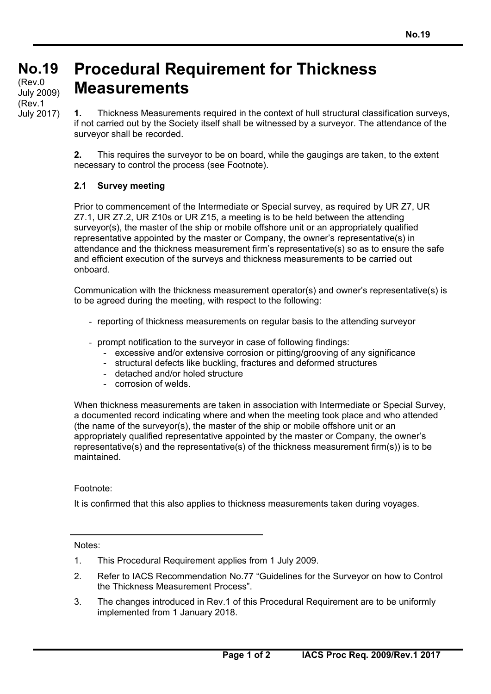## **No.19 No.19**  (cont) July 2009) **Procedural Requirement for Thickness Measurements**  (Rev.0 (Rev.1

**1.** Thickness Measurements required in the context of hull structural classification surveys, if not carried out by the Society itself shall be witnessed by a surveyor. The attendance of the surveyor shall be recorded.

**2.** This requires the surveyor to be on board, while the gaugings are taken, to the extent necessary to control the process (see Footnote).

## **2.1 Survey meeting**

July 2017)

Prior to commencement of the Intermediate or Special survey, as required by UR Z7, UR Z7.1, UR Z7.2, UR Z10s or UR Z15, a meeting is to be held between the attending surveyor(s), the master of the ship or mobile offshore unit or an appropriately qualified representative appointed by the master or Company, the owner's representative(s) in attendance and the thickness measurement firm's representative(s) so as to ensure the safe and efficient execution of the surveys and thickness measurements to be carried out onboard.

Communication with the thickness measurement operator(s) and owner's representative(s) is to be agreed during the meeting, with respect to the following:

- reporting of thickness measurements on regular basis to the attending surveyor
- prompt notification to the surveyor in case of following findings:
	- excessive and/or extensive corrosion or pitting/grooving of any significance
	- structural defects like buckling, fractures and deformed structures
	- detached and/or holed structure
	- corrosion of welds.

When thickness measurements are taken in association with Intermediate or Special Survey, a documented record indicating where and when the meeting took place and who attended (the name of the surveyor(s), the master of the ship or mobile offshore unit or an appropriately qualified representative appointed by the master or Company, the owner's representative(s) and the representative(s) of the thickness measurement firm(s)) is to be maintained.

Footnote:

It is confirmed that this also applies to thickness measurements taken during voyages.

Notes:

 $\overline{a}$ 

- 1. This Procedural Requirement applies from 1 July 2009.
- 2. Refer to IACS Recommendation No.77 "Guidelines for the Surveyor on how to Control the Thickness Measurement Process".
- 3. The changes introduced in Rev.1 of this Procedural Requirement are to be uniformly implemented from 1 January 2018.